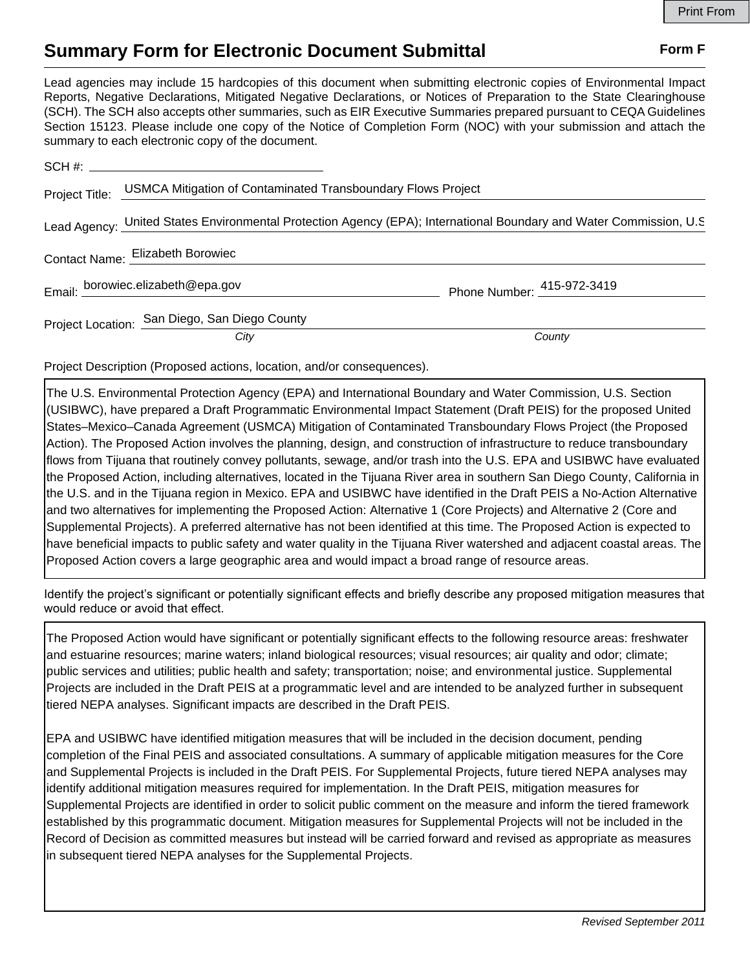## **Summary Form for Electronic Document Submittal Form F Form F**

Lead agencies may include 15 hardcopies of this document when submitting electronic copies of Environmental Impact Reports, Negative Declarations, Mitigated Negative Declarations, or Notices of Preparation to the State Clearinghouse (SCH). The SCH also accepts other summaries, such as EIR Executive Summaries prepared pursuant to CEQA Guidelines Section 15123. Please include one copy of the Notice of Completion Form (NOC) with your submission and attach the summary to each electronic copy of the document.

|                | SCH #:                                                                                                              |                            |
|----------------|---------------------------------------------------------------------------------------------------------------------|----------------------------|
| Project Title: | USMCA Mitigation of Contaminated Transboundary Flows Project                                                        |                            |
|                | Lead Agency: United States Environmental Protection Agency (EPA); International Boundary and Water Commission, U.S. |                            |
|                | Contact Name: Elizabeth Borowiec                                                                                    |                            |
|                | Email: borowiec.elizabeth@epa.gov                                                                                   | Phone Number: 415-972-3419 |
|                | Project Location: San Diego, San Diego County                                                                       |                            |
|                | City                                                                                                                | County                     |

Project Description (Proposed actions, location, and/or consequences).

The U.S. Environmental Protection Agency (EPA) and International Boundary and Water Commission, U.S. Section (USIBWC), have prepared a Draft Programmatic Environmental Impact Statement (Draft PEIS) for the proposed United States–Mexico–Canada Agreement (USMCA) Mitigation of Contaminated Transboundary Flows Project (the Proposed Action). The Proposed Action involves the planning, design, and construction of infrastructure to reduce transboundary flows from Tijuana that routinely convey pollutants, sewage, and/or trash into the U.S. EPA and USIBWC have evaluated the Proposed Action, including alternatives, located in the Tijuana River area in southern San Diego County, California in the U.S. and in the Tijuana region in Mexico. EPA and USIBWC have identified in the Draft PEIS a No-Action Alternative and two alternatives for implementing the Proposed Action: Alternative 1 (Core Projects) and Alternative 2 (Core and Supplemental Projects). A preferred alternative has not been identified at this time. The Proposed Action is expected to have beneficial impacts to public safety and water quality in the Tijuana River watershed and adjacent coastal areas. The Proposed Action covers a large geographic area and would impact a broad range of resource areas.

Identify the project's significant or potentially significant effects and briefly describe any proposed mitigation measures that would reduce or avoid that effect.

The Proposed Action would have significant or potentially significant effects to the following resource areas: freshwater and estuarine resources; marine waters; inland biological resources; visual resources; air quality and odor; climate; public services and utilities; public health and safety; transportation; noise; and environmental justice. Supplemental Projects are included in the Draft PEIS at a programmatic level and are intended to be analyzed further in subsequent tiered NEPA analyses. Significant impacts are described in the Draft PEIS.

EPA and USIBWC have identified mitigation measures that will be included in the decision document, pending completion of the Final PEIS and associated consultations. A summary of applicable mitigation measures for the Core and Supplemental Projects is included in the Draft PEIS. For Supplemental Projects, future tiered NEPA analyses may identify additional mitigation measures required for implementation. In the Draft PEIS, mitigation measures for Supplemental Projects are identified in order to solicit public comment on the measure and inform the tiered framework established by this programmatic document. Mitigation measures for Supplemental Projects will not be included in the Record of Decision as committed measures but instead will be carried forward and revised as appropriate as measures in subsequent tiered NEPA analyses for the Supplemental Projects.